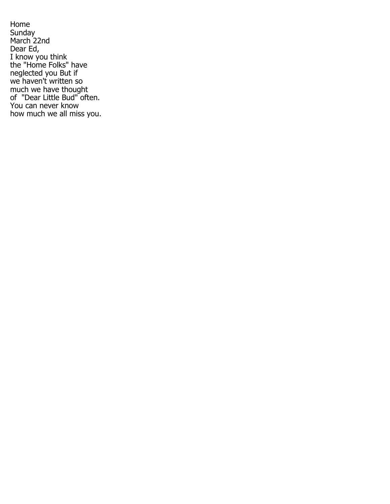Home Sunday March 22nd Dear Ed, I know you think the "Home Folks" have neglected you But if we haven't written so much we have thought of "Dear Little Bud" often. You can never know how much we all miss you.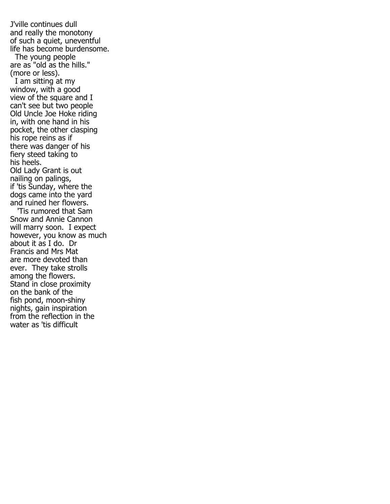J'ville continues dull and really the monotony of such a quiet, uneventful life has become burdensome. The young people are as "old as the hills." (more or less). I am sitting at my window, with a good view of the square and I can't see but two people Old Uncle Joe Hoke riding in, with one hand in his pocket, the other clasping his rope reins as if there was danger of his fiery steed taking to his heels. Old Lady Grant is out nailing on palings, if 'tis Sunday, where the dogs came into the yard and ruined her flowers. 'Tis rumored that Sam Snow and Annie Cannon will marry soon. I expect however, you know as much about it as I do. Dr Francis and Mrs Mat are more devoted than ever. They take strolls among the flowers. Stand in close proximity on the bank of the fish pond, moon-shiny nights, gain inspiration from the reflection in the water as 'tis difficult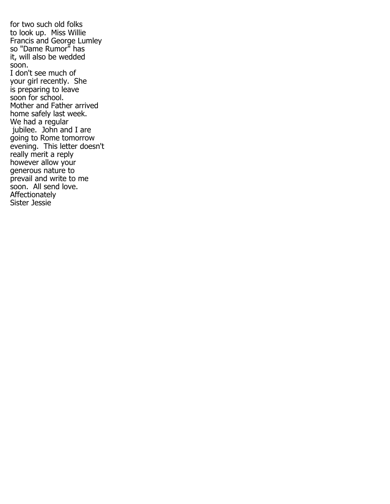for two such old folks to look up. Miss Willie Francis and George Lumley so "Dame Rumor" has it, will also be wedded soon. I don't see much of your girl recently. She is preparing to leave soon for school. Mother and Father arrived home safely last week. We had a regular jubilee. John and I are going to Rome tomorrow evening. This letter doesn't really merit a reply however allow your generous nature to prevail and write to me soon. All send love. Affectionately Sister Jessie